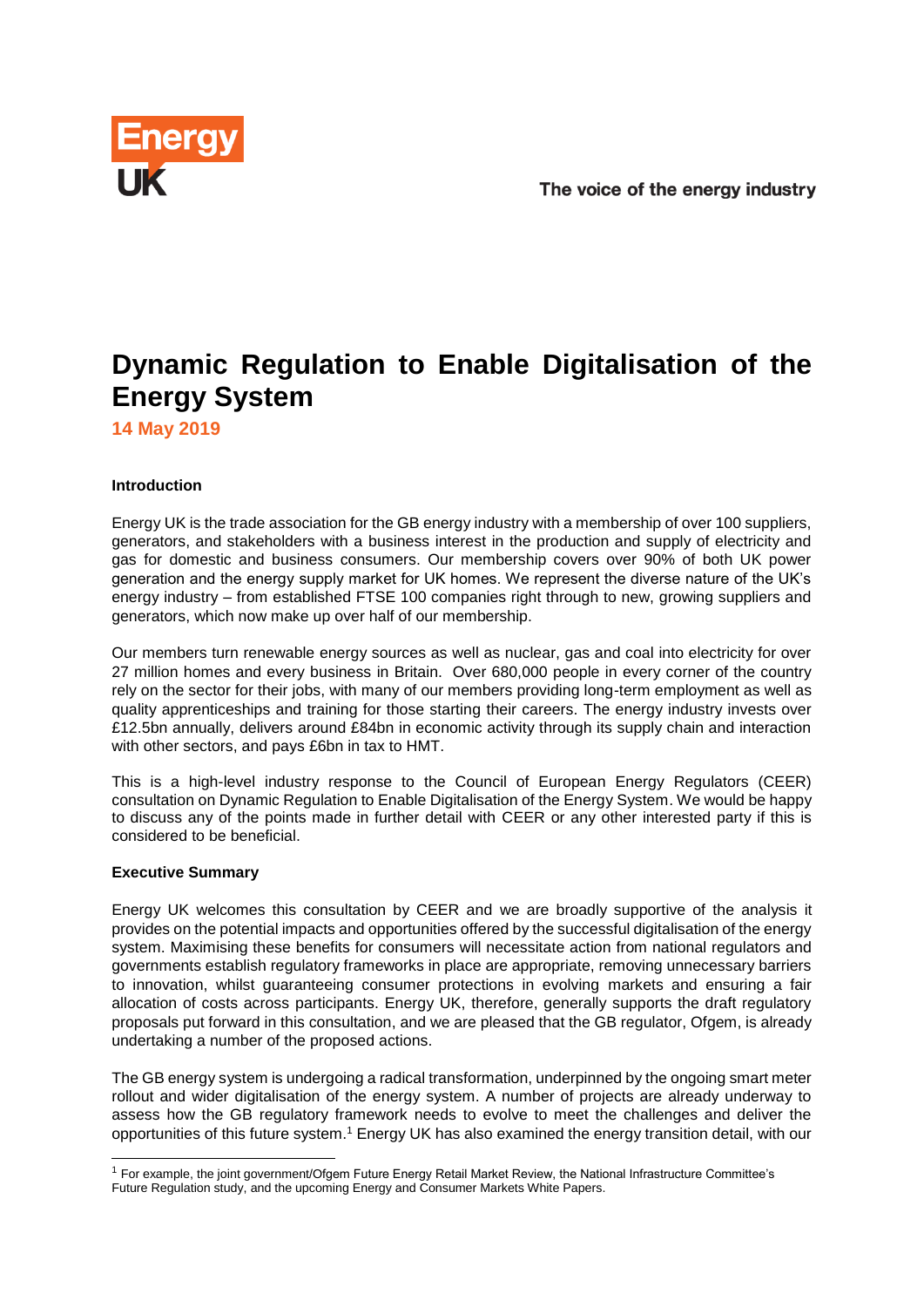

# **Dynamic Regulation to Enable Digitalisation of the Energy System**

**14 May 2019**

# **Introduction**

Energy UK is the trade association for the GB energy industry with a membership of over 100 suppliers, generators, and stakeholders with a business interest in the production and supply of electricity and gas for domestic and business consumers. Our membership covers over 90% of both UK power generation and the energy supply market for UK homes. We represent the diverse nature of the UK's energy industry – from established FTSE 100 companies right through to new, growing suppliers and generators, which now make up over half of our membership.

Our members turn renewable energy sources as well as nuclear, gas and coal into electricity for over 27 million homes and every business in Britain. Over 680,000 people in every corner of the country rely on the sector for their jobs, with many of our members providing long-term employment as well as quality apprenticeships and training for those starting their careers. The energy industry invests over £12.5bn annually, delivers around £84bn in economic activity through its supply chain and interaction with other sectors, and pays £6bn in tax to HMT.

This is a high-level industry response to the Council of European Energy Regulators (CEER) consultation on Dynamic Regulation to Enable Digitalisation of the Energy System. We would be happy to discuss any of the points made in further detail with CEER or any other interested party if this is considered to be beneficial.

# **Executive Summary**

-

Energy UK welcomes this consultation by CEER and we are broadly supportive of the analysis it provides on the potential impacts and opportunities offered by the successful digitalisation of the energy system. Maximising these benefits for consumers will necessitate action from national regulators and governments establish regulatory frameworks in place are appropriate, removing unnecessary barriers to innovation, whilst guaranteeing consumer protections in evolving markets and ensuring a fair allocation of costs across participants. Energy UK, therefore, generally supports the draft regulatory proposals put forward in this consultation, and we are pleased that the GB regulator, Ofgem, is already undertaking a number of the proposed actions.

The GB energy system is undergoing a radical transformation, underpinned by the ongoing smart meter rollout and wider digitalisation of the energy system. A number of projects are already underway to assess how the GB regulatory framework needs to evolve to meet the challenges and deliver the opportunities of this future system.<sup>1</sup> Energy UK has also examined the energy transition detail, with our

<sup>1</sup> For example, the joint government/Ofgem Future Energy Retail Market Review, the National Infrastructure Committee's Future Regulation study, and the upcoming Energy and Consumer Markets White Papers.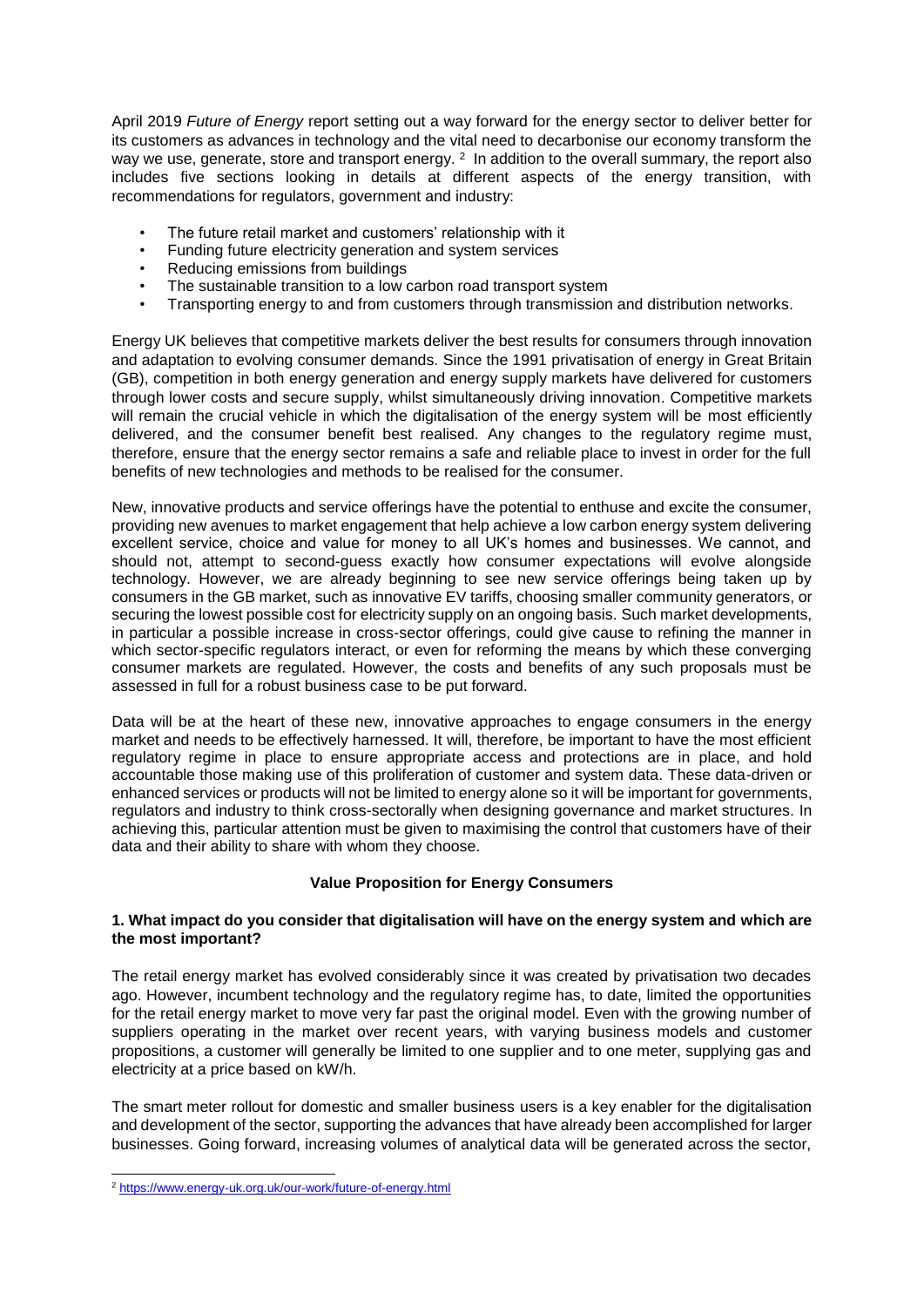April 2019 *Future of Energy* report setting out a way forward for the energy sector to deliver better for its customers as advances in technology and the vital need to decarbonise our economy transform the way we use, generate, store and transport energy. <sup>2</sup> In addition to the overall summary, the report also includes five sections looking in details at different aspects of the energy transition, with recommendations for regulators, government and industry:

- The future retail market and customers' relationship with it
- Funding future electricity generation and system services
- Reducing emissions from buildings
- The sustainable transition to a low carbon road transport system
- Transporting energy to and from customers through transmission and distribution networks.

Energy UK believes that competitive markets deliver the best results for consumers through innovation and adaptation to evolving consumer demands. Since the 1991 privatisation of energy in Great Britain (GB), competition in both energy generation and energy supply markets have delivered for customers through lower costs and secure supply, whilst simultaneously driving innovation. Competitive markets will remain the crucial vehicle in which the digitalisation of the energy system will be most efficiently delivered, and the consumer benefit best realised. Any changes to the regulatory regime must, therefore, ensure that the energy sector remains a safe and reliable place to invest in order for the full benefits of new technologies and methods to be realised for the consumer.

New, innovative products and service offerings have the potential to enthuse and excite the consumer, providing new avenues to market engagement that help achieve a low carbon energy system delivering excellent service, choice and value for money to all UK's homes and businesses. We cannot, and should not, attempt to second-guess exactly how consumer expectations will evolve alongside technology. However, we are already beginning to see new service offerings being taken up by consumers in the GB market, such as innovative EV tariffs, choosing smaller community generators, or securing the lowest possible cost for electricity supply on an ongoing basis. Such market developments, in particular a possible increase in cross-sector offerings, could give cause to refining the manner in which sector-specific regulators interact, or even for reforming the means by which these converging consumer markets are regulated. However, the costs and benefits of any such proposals must be assessed in full for a robust business case to be put forward.

Data will be at the heart of these new, innovative approaches to engage consumers in the energy market and needs to be effectively harnessed. It will, therefore, be important to have the most efficient regulatory regime in place to ensure appropriate access and protections are in place, and hold accountable those making use of this proliferation of customer and system data. These data-driven or enhanced services or products will not be limited to energy alone so it will be important for governments, regulators and industry to think cross-sectorally when designing governance and market structures. In achieving this, particular attention must be given to maximising the control that customers have of their data and their ability to share with whom they choose.

# **Value Proposition for Energy Consumers**

## **1. What impact do you consider that digitalisation will have on the energy system and which are the most important?**

The retail energy market has evolved considerably since it was created by privatisation two decades ago. However, incumbent technology and the regulatory regime has, to date, limited the opportunities for the retail energy market to move very far past the original model. Even with the growing number of suppliers operating in the market over recent years, with varying business models and customer propositions, a customer will generally be limited to one supplier and to one meter, supplying gas and electricity at a price based on kW/h.

The smart meter rollout for domestic and smaller business users is a key enabler for the digitalisation and development of the sector, supporting the advances that have already been accomplished for larger businesses. Going forward, increasing volumes of analytical data will be generated across the sector,

-

<sup>&</sup>lt;sup>2</sup> <https://www.energy-uk.org.uk/our-work/future-of-energy.html>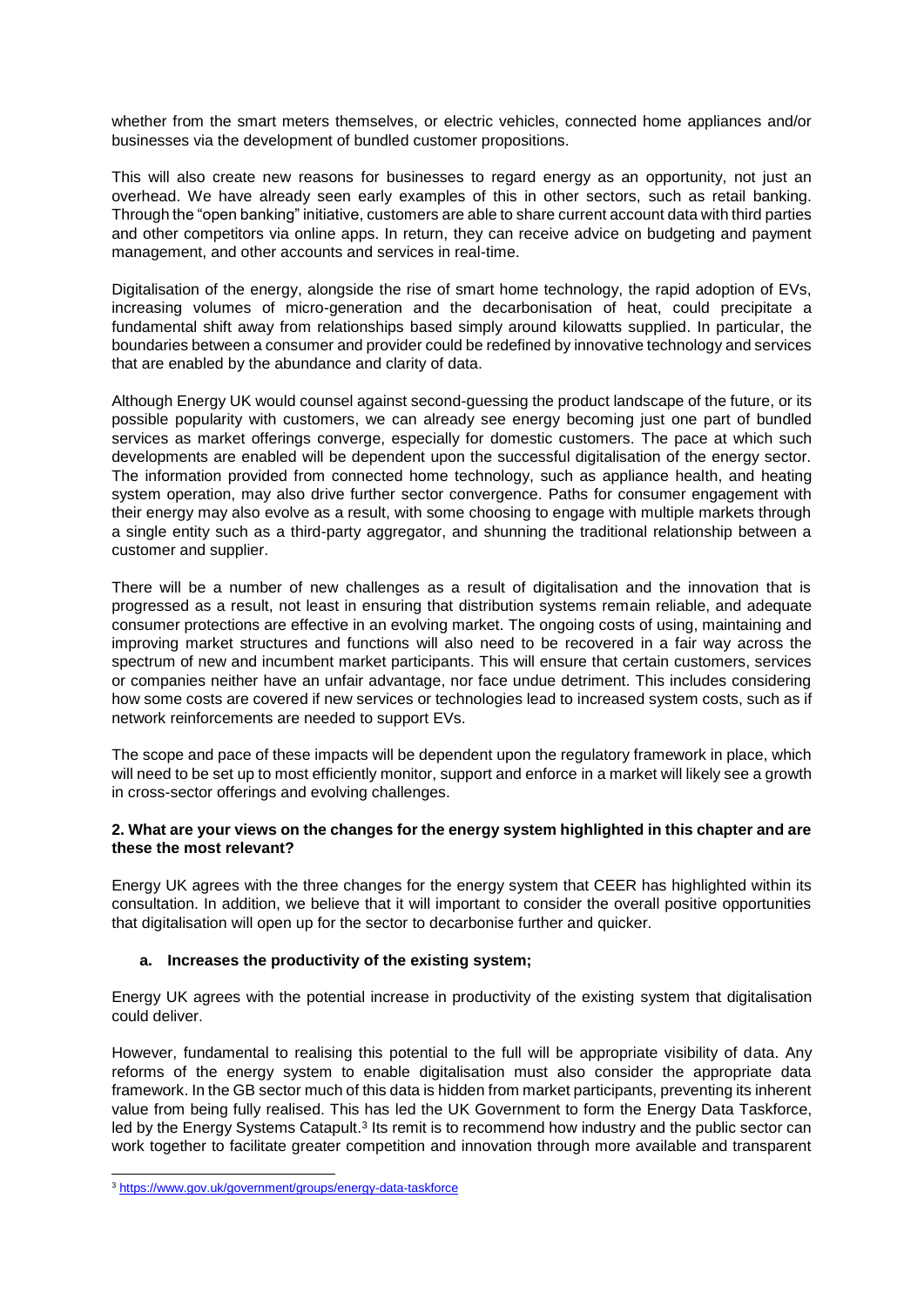whether from the smart meters themselves, or electric vehicles, connected home appliances and/or businesses via the development of bundled customer propositions.

This will also create new reasons for businesses to regard energy as an opportunity, not just an overhead. We have already seen early examples of this in other sectors, such as retail banking. Through the "open banking" initiative, customers are able to share current account data with third parties and other competitors via online apps. In return, they can receive advice on budgeting and payment management, and other accounts and services in real-time.

Digitalisation of the energy, alongside the rise of smart home technology, the rapid adoption of EVs, increasing volumes of micro-generation and the decarbonisation of heat, could precipitate a fundamental shift away from relationships based simply around kilowatts supplied. In particular, the boundaries between a consumer and provider could be redefined by innovative technology and services that are enabled by the abundance and clarity of data.

Although Energy UK would counsel against second-guessing the product landscape of the future, or its possible popularity with customers, we can already see energy becoming just one part of bundled services as market offerings converge, especially for domestic customers. The pace at which such developments are enabled will be dependent upon the successful digitalisation of the energy sector. The information provided from connected home technology, such as appliance health, and heating system operation, may also drive further sector convergence. Paths for consumer engagement with their energy may also evolve as a result, with some choosing to engage with multiple markets through a single entity such as a third-party aggregator, and shunning the traditional relationship between a customer and supplier.

There will be a number of new challenges as a result of digitalisation and the innovation that is progressed as a result, not least in ensuring that distribution systems remain reliable, and adequate consumer protections are effective in an evolving market. The ongoing costs of using, maintaining and improving market structures and functions will also need to be recovered in a fair way across the spectrum of new and incumbent market participants. This will ensure that certain customers, services or companies neither have an unfair advantage, nor face undue detriment. This includes considering how some costs are covered if new services or technologies lead to increased system costs, such as if network reinforcements are needed to support EVs.

The scope and pace of these impacts will be dependent upon the regulatory framework in place, which will need to be set up to most efficiently monitor, support and enforce in a market will likely see a growth in cross-sector offerings and evolving challenges.

# **2. What are your views on the changes for the energy system highlighted in this chapter and are these the most relevant?**

Energy UK agrees with the three changes for the energy system that CEER has highlighted within its consultation. In addition, we believe that it will important to consider the overall positive opportunities that digitalisation will open up for the sector to decarbonise further and quicker.

# **a. Increases the productivity of the existing system;**

Energy UK agrees with the potential increase in productivity of the existing system that digitalisation could deliver.

However, fundamental to realising this potential to the full will be appropriate visibility of data. Any reforms of the energy system to enable digitalisation must also consider the appropriate data framework. In the GB sector much of this data is hidden from market participants, preventing its inherent value from being fully realised. This has led the UK Government to form the Energy Data Taskforce, led by the Energy Systems Catapult.<sup>3</sup> Its remit is to recommend how industry and the public sector can work together to facilitate greater competition and innovation through more available and transparent

-

<sup>3</sup> <https://www.gov.uk/government/groups/energy-data-taskforce>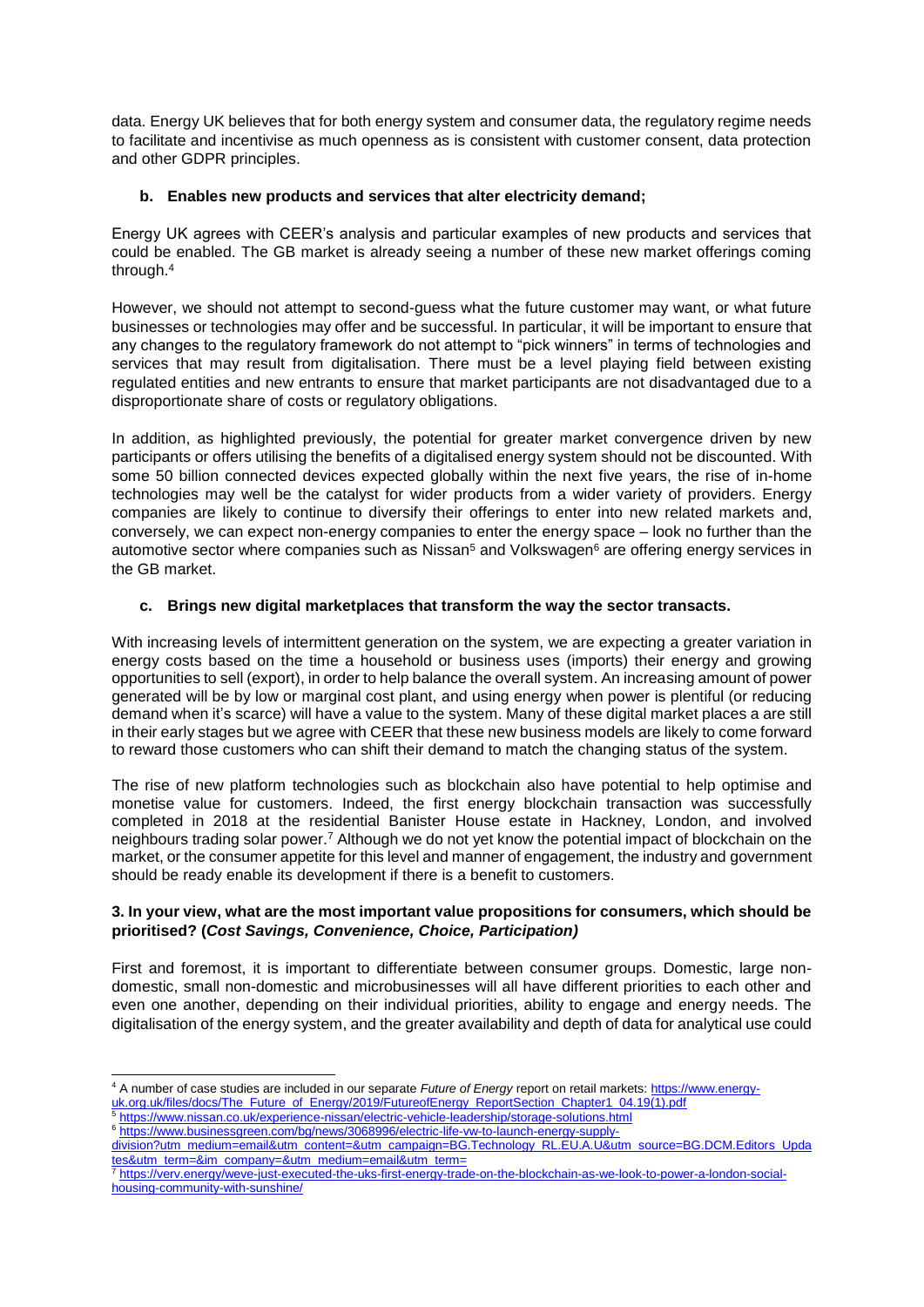data. Energy UK believes that for both energy system and consumer data, the regulatory regime needs to facilitate and incentivise as much openness as is consistent with customer consent, data protection and other GDPR principles.

# **b. Enables new products and services that alter electricity demand;**

Energy UK agrees with CEER's analysis and particular examples of new products and services that could be enabled. The GB market is already seeing a number of these new market offerings coming through.<sup>4</sup>

However, we should not attempt to second-guess what the future customer may want, or what future businesses or technologies may offer and be successful. In particular, it will be important to ensure that any changes to the regulatory framework do not attempt to "pick winners" in terms of technologies and services that may result from digitalisation. There must be a level playing field between existing regulated entities and new entrants to ensure that market participants are not disadvantaged due to a disproportionate share of costs or regulatory obligations.

In addition, as highlighted previously, the potential for greater market convergence driven by new participants or offers utilising the benefits of a digitalised energy system should not be discounted. With some 50 billion connected devices expected globally within the next five years, the rise of in-home technologies may well be the catalyst for wider products from a wider variety of providers. Energy companies are likely to continue to diversify their offerings to enter into new related markets and, conversely, we can expect non-energy companies to enter the energy space – look no further than the automotive sector where companies such as Nissan<sup>5</sup> and Volkswagen<sup>6</sup> are offering energy services in the GB market.

# **c. Brings new digital marketplaces that transform the way the sector transacts.**

With increasing levels of intermittent generation on the system, we are expecting a greater variation in energy costs based on the time a household or business uses (imports) their energy and growing opportunities to sell (export), in order to help balance the overall system. An increasing amount of power generated will be by low or marginal cost plant, and using energy when power is plentiful (or reducing demand when it's scarce) will have a value to the system. Many of these digital market places a are still in their early stages but we agree with CEER that these new business models are likely to come forward to reward those customers who can shift their demand to match the changing status of the system.

The rise of new platform technologies such as blockchain also have potential to help optimise and monetise value for customers. Indeed, the first energy blockchain transaction was successfully completed in 2018 at the residential Banister House estate in Hackney, London, and involved neighbours trading solar power.<sup>7</sup> Although we do not yet know the potential impact of blockchain on the market, or the consumer appetite for this level and manner of engagement, the industry and government should be ready enable its development if there is a benefit to customers.

## **3. In your view, what are the most important value propositions for consumers, which should be prioritised? (***Cost Savings, Convenience, Choice, Participation)*

First and foremost, it is important to differentiate between consumer groups. Domestic, large nondomestic, small non-domestic and microbusinesses will all have different priorities to each other and even one another, depending on their individual priorities, ability to engage and energy needs. The digitalisation of the energy system, and the greater availability and depth of data for analytical use could

<sup>-</sup><sup>4</sup> A number of case studies are included in our separate *Future of Energy* report on retail markets[: https://www.energy](https://www.energy-uk.org.uk/files/docs/The_Future_of_Energy/2019/FutureofEnergy_ReportSection_Chapter1_04.19(1).pdf)[uk.org.uk/files/docs/The\\_Future\\_of\\_Energy/2019/FutureofEnergy\\_ReportSection\\_Chapter1\\_04.19\(1\).pdf](https://www.energy-uk.org.uk/files/docs/The_Future_of_Energy/2019/FutureofEnergy_ReportSection_Chapter1_04.19(1).pdf)

<sup>5</sup> <https://www.nissan.co.uk/experience-nissan/electric-vehicle-leadership/storage-solutions.html>

<sup>6</sup> [https://www.businessgreen.com/bg/news/3068996/electric-life-vw-to-launch-energy-supply-](https://www.businessgreen.com/bg/news/3068996/electric-life-vw-to-launch-energy-supply-division?utm_medium=email&utm_content=&utm_campaign=BG.Technology_RL.EU.A.U&utm_source=BG.DCM.Editors_Updates&utm_term=&im_company=&utm_medium=email&utm_term=)

[division?utm\\_medium=email&utm\\_content=&utm\\_campaign=BG.Technology\\_RL.EU.A.U&utm\\_source=BG.DCM.Editors\\_Upda](https://www.businessgreen.com/bg/news/3068996/electric-life-vw-to-launch-energy-supply-division?utm_medium=email&utm_content=&utm_campaign=BG.Technology_RL.EU.A.U&utm_source=BG.DCM.Editors_Updates&utm_term=&im_company=&utm_medium=email&utm_term=) [tes&utm\\_term=&im\\_company=&utm\\_medium=email&utm\\_term=](https://www.businessgreen.com/bg/news/3068996/electric-life-vw-to-launch-energy-supply-division?utm_medium=email&utm_content=&utm_campaign=BG.Technology_RL.EU.A.U&utm_source=BG.DCM.Editors_Updates&utm_term=&im_company=&utm_medium=email&utm_term=)

<sup>7</sup> [https://verv.energy/weve-just-executed-the-uks-first-energy-trade-on-the-blockchain-as-we-look-to-power-a-london-social](https://verv.energy/weve-just-executed-the-uks-first-energy-trade-on-the-blockchain-as-we-look-to-power-a-london-social-housing-community-with-sunshine/)[housing-community-with-sunshine/](https://verv.energy/weve-just-executed-the-uks-first-energy-trade-on-the-blockchain-as-we-look-to-power-a-london-social-housing-community-with-sunshine/)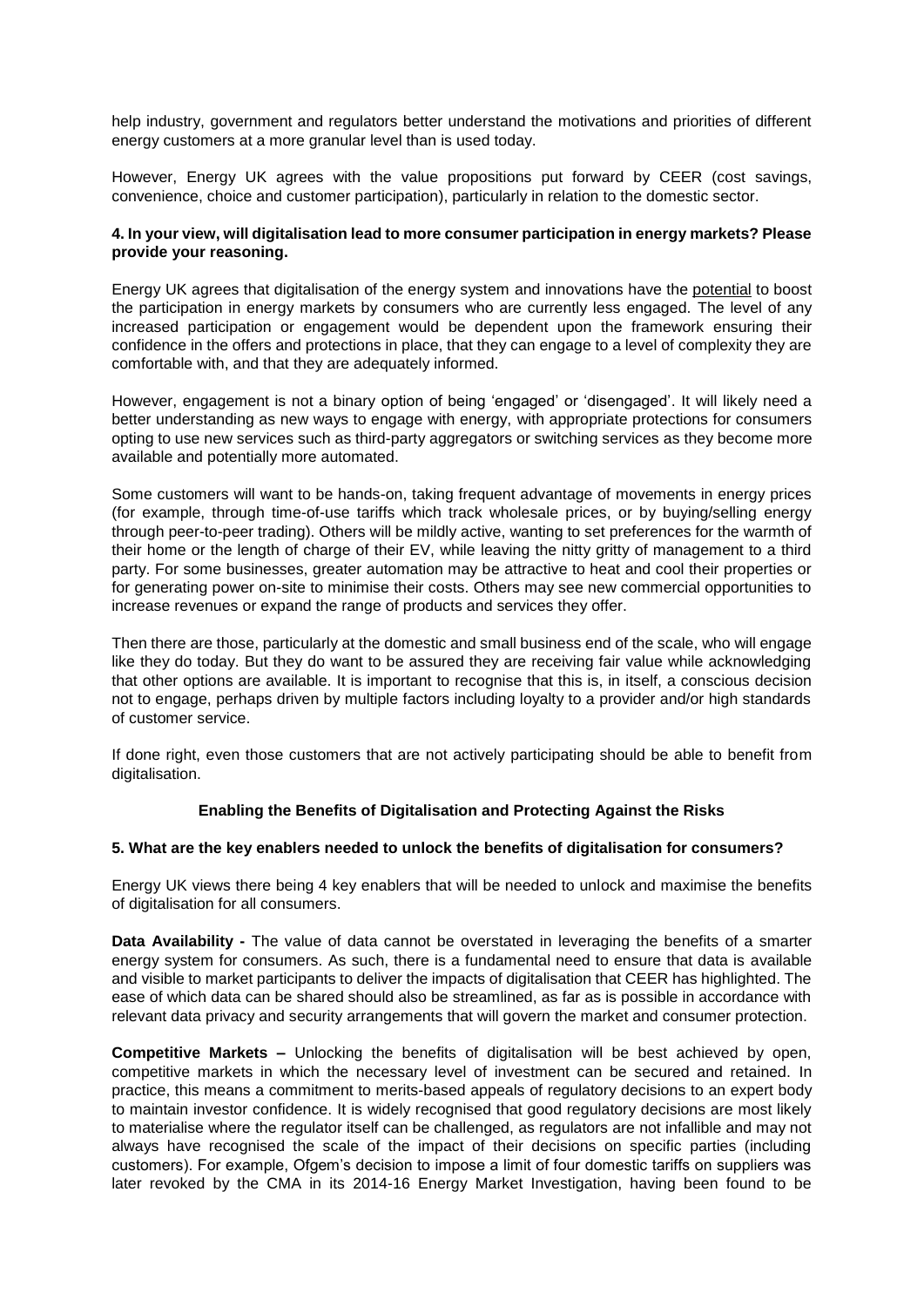help industry, government and regulators better understand the motivations and priorities of different energy customers at a more granular level than is used today.

However, Energy UK agrees with the value propositions put forward by CEER (cost savings, convenience, choice and customer participation), particularly in relation to the domestic sector.

## **4. In your view, will digitalisation lead to more consumer participation in energy markets? Please provide your reasoning.**

Energy UK agrees that digitalisation of the energy system and innovations have the potential to boost the participation in energy markets by consumers who are currently less engaged. The level of any increased participation or engagement would be dependent upon the framework ensuring their confidence in the offers and protections in place, that they can engage to a level of complexity they are comfortable with, and that they are adequately informed.

However, engagement is not a binary option of being 'engaged' or 'disengaged'. It will likely need a better understanding as new ways to engage with energy, with appropriate protections for consumers opting to use new services such as third-party aggregators or switching services as they become more available and potentially more automated.

Some customers will want to be hands-on, taking frequent advantage of movements in energy prices (for example, through time-of-use tariffs which track wholesale prices, or by buying/selling energy through peer-to-peer trading). Others will be mildly active, wanting to set preferences for the warmth of their home or the length of charge of their EV, while leaving the nitty gritty of management to a third party. For some businesses, greater automation may be attractive to heat and cool their properties or for generating power on-site to minimise their costs. Others may see new commercial opportunities to increase revenues or expand the range of products and services they offer.

Then there are those, particularly at the domestic and small business end of the scale, who will engage like they do today. But they do want to be assured they are receiving fair value while acknowledging that other options are available. It is important to recognise that this is, in itself, a conscious decision not to engage, perhaps driven by multiple factors including loyalty to a provider and/or high standards of customer service.

If done right, even those customers that are not actively participating should be able to benefit from digitalisation.

# **Enabling the Benefits of Digitalisation and Protecting Against the Risks**

#### **5. What are the key enablers needed to unlock the benefits of digitalisation for consumers?**

Energy UK views there being 4 key enablers that will be needed to unlock and maximise the benefits of digitalisation for all consumers.

**Data Availability -** The value of data cannot be overstated in leveraging the benefits of a smarter energy system for consumers. As such, there is a fundamental need to ensure that data is available and visible to market participants to deliver the impacts of digitalisation that CEER has highlighted. The ease of which data can be shared should also be streamlined, as far as is possible in accordance with relevant data privacy and security arrangements that will govern the market and consumer protection.

**Competitive Markets –** Unlocking the benefits of digitalisation will be best achieved by open, competitive markets in which the necessary level of investment can be secured and retained. In practice, this means a commitment to merits-based appeals of regulatory decisions to an expert body to maintain investor confidence. It is widely recognised that good regulatory decisions are most likely to materialise where the regulator itself can be challenged, as regulators are not infallible and may not always have recognised the scale of the impact of their decisions on specific parties (including customers). For example, Ofgem's decision to impose a limit of four domestic tariffs on suppliers was later revoked by the CMA in its 2014-16 Energy Market Investigation, having been found to be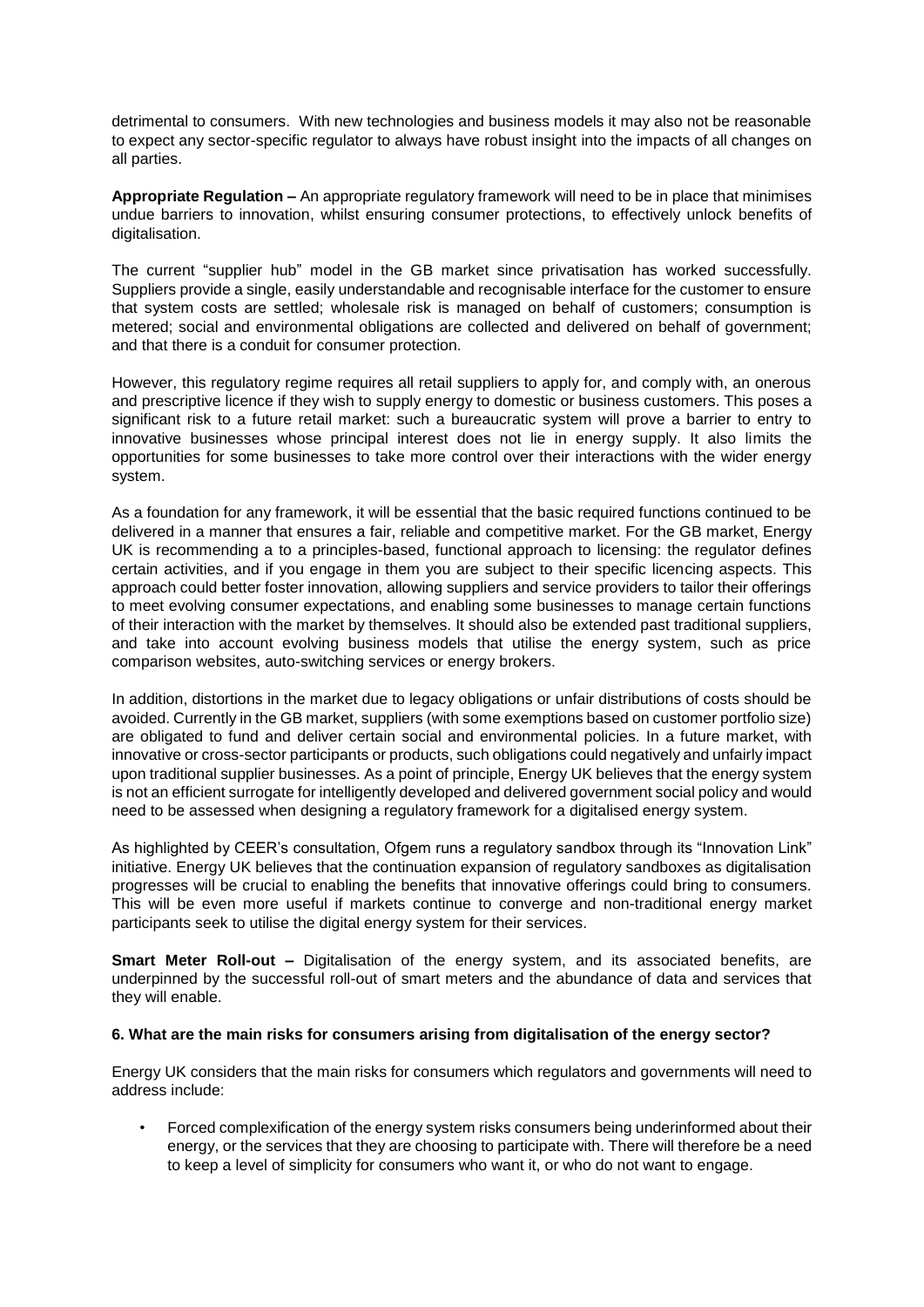detrimental to consumers. With new technologies and business models it may also not be reasonable to expect any sector-specific regulator to always have robust insight into the impacts of all changes on all parties.

**Appropriate Regulation –** An appropriate regulatory framework will need to be in place that minimises undue barriers to innovation, whilst ensuring consumer protections, to effectively unlock benefits of digitalisation.

The current "supplier hub" model in the GB market since privatisation has worked successfully. Suppliers provide a single, easily understandable and recognisable interface for the customer to ensure that system costs are settled; wholesale risk is managed on behalf of customers; consumption is metered; social and environmental obligations are collected and delivered on behalf of government; and that there is a conduit for consumer protection.

However, this regulatory regime requires all retail suppliers to apply for, and comply with, an onerous and prescriptive licence if they wish to supply energy to domestic or business customers. This poses a significant risk to a future retail market: such a bureaucratic system will prove a barrier to entry to innovative businesses whose principal interest does not lie in energy supply. It also limits the opportunities for some businesses to take more control over their interactions with the wider energy system.

As a foundation for any framework, it will be essential that the basic required functions continued to be delivered in a manner that ensures a fair, reliable and competitive market. For the GB market, Energy UK is recommending a to a principles-based, functional approach to licensing: the regulator defines certain activities, and if you engage in them you are subject to their specific licencing aspects. This approach could better foster innovation, allowing suppliers and service providers to tailor their offerings to meet evolving consumer expectations, and enabling some businesses to manage certain functions of their interaction with the market by themselves. It should also be extended past traditional suppliers, and take into account evolving business models that utilise the energy system, such as price comparison websites, auto-switching services or energy brokers.

In addition, distortions in the market due to legacy obligations or unfair distributions of costs should be avoided. Currently in the GB market, suppliers (with some exemptions based on customer portfolio size) are obligated to fund and deliver certain social and environmental policies. In a future market, with innovative or cross-sector participants or products, such obligations could negatively and unfairly impact upon traditional supplier businesses. As a point of principle, Energy UK believes that the energy system is not an efficient surrogate for intelligently developed and delivered government social policy and would need to be assessed when designing a regulatory framework for a digitalised energy system.

As highlighted by CEER's consultation, Ofgem runs a regulatory sandbox through its "Innovation Link" initiative. Energy UK believes that the continuation expansion of regulatory sandboxes as digitalisation progresses will be crucial to enabling the benefits that innovative offerings could bring to consumers. This will be even more useful if markets continue to converge and non-traditional energy market participants seek to utilise the digital energy system for their services.

**Smart Meter Roll-out –** Digitalisation of the energy system, and its associated benefits, are underpinned by the successful roll-out of smart meters and the abundance of data and services that they will enable.

#### **6. What are the main risks for consumers arising from digitalisation of the energy sector?**

Energy UK considers that the main risks for consumers which regulators and governments will need to address include:

• Forced complexification of the energy system risks consumers being underinformed about their energy, or the services that they are choosing to participate with. There will therefore be a need to keep a level of simplicity for consumers who want it, or who do not want to engage.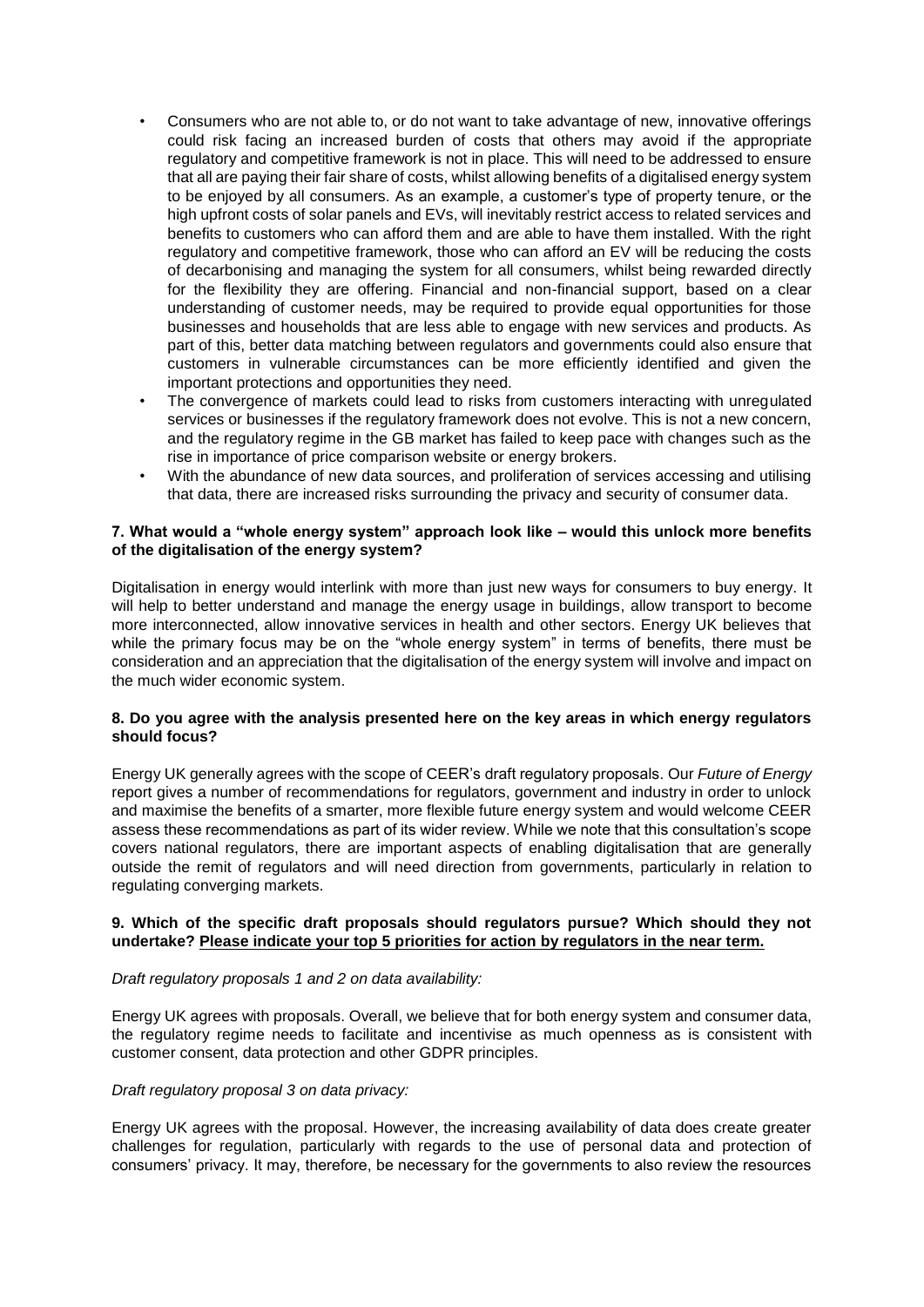- Consumers who are not able to, or do not want to take advantage of new, innovative offerings could risk facing an increased burden of costs that others may avoid if the appropriate regulatory and competitive framework is not in place. This will need to be addressed to ensure that all are paying their fair share of costs, whilst allowing benefits of a digitalised energy system to be enjoyed by all consumers. As an example, a customer's type of property tenure, or the high upfront costs of solar panels and EVs, will inevitably restrict access to related services and benefits to customers who can afford them and are able to have them installed. With the right regulatory and competitive framework, those who can afford an EV will be reducing the costs of decarbonising and managing the system for all consumers, whilst being rewarded directly for the flexibility they are offering. Financial and non-financial support, based on a clear understanding of customer needs, may be required to provide equal opportunities for those businesses and households that are less able to engage with new services and products. As part of this, better data matching between regulators and governments could also ensure that customers in vulnerable circumstances can be more efficiently identified and given the important protections and opportunities they need.
- The convergence of markets could lead to risks from customers interacting with unregulated services or businesses if the regulatory framework does not evolve. This is not a new concern, and the regulatory regime in the GB market has failed to keep pace with changes such as the rise in importance of price comparison website or energy brokers.
- With the abundance of new data sources, and proliferation of services accessing and utilising that data, there are increased risks surrounding the privacy and security of consumer data.

### **7. What would a "whole energy system" approach look like – would this unlock more benefits of the digitalisation of the energy system?**

Digitalisation in energy would interlink with more than just new ways for consumers to buy energy. It will help to better understand and manage the energy usage in buildings, allow transport to become more interconnected, allow innovative services in health and other sectors. Energy UK believes that while the primary focus may be on the "whole energy system" in terms of benefits, there must be consideration and an appreciation that the digitalisation of the energy system will involve and impact on the much wider economic system.

## **8. Do you agree with the analysis presented here on the key areas in which energy regulators should focus?**

Energy UK generally agrees with the scope of CEER's draft regulatory proposals. Our *Future of Energy* report gives a number of recommendations for regulators, government and industry in order to unlock and maximise the benefits of a smarter, more flexible future energy system and would welcome CEER assess these recommendations as part of its wider review. While we note that this consultation's scope covers national regulators, there are important aspects of enabling digitalisation that are generally outside the remit of regulators and will need direction from governments, particularly in relation to regulating converging markets.

## **9. Which of the specific draft proposals should regulators pursue? Which should they not undertake? Please indicate your top 5 priorities for action by regulators in the near term.**

#### *Draft regulatory proposals 1 and 2 on data availability:*

Energy UK agrees with proposals. Overall, we believe that for both energy system and consumer data, the regulatory regime needs to facilitate and incentivise as much openness as is consistent with customer consent, data protection and other GDPR principles.

#### *Draft regulatory proposal 3 on data privacy:*

Energy UK agrees with the proposal. However, the increasing availability of data does create greater challenges for regulation, particularly with regards to the use of personal data and protection of consumers' privacy. It may, therefore, be necessary for the governments to also review the resources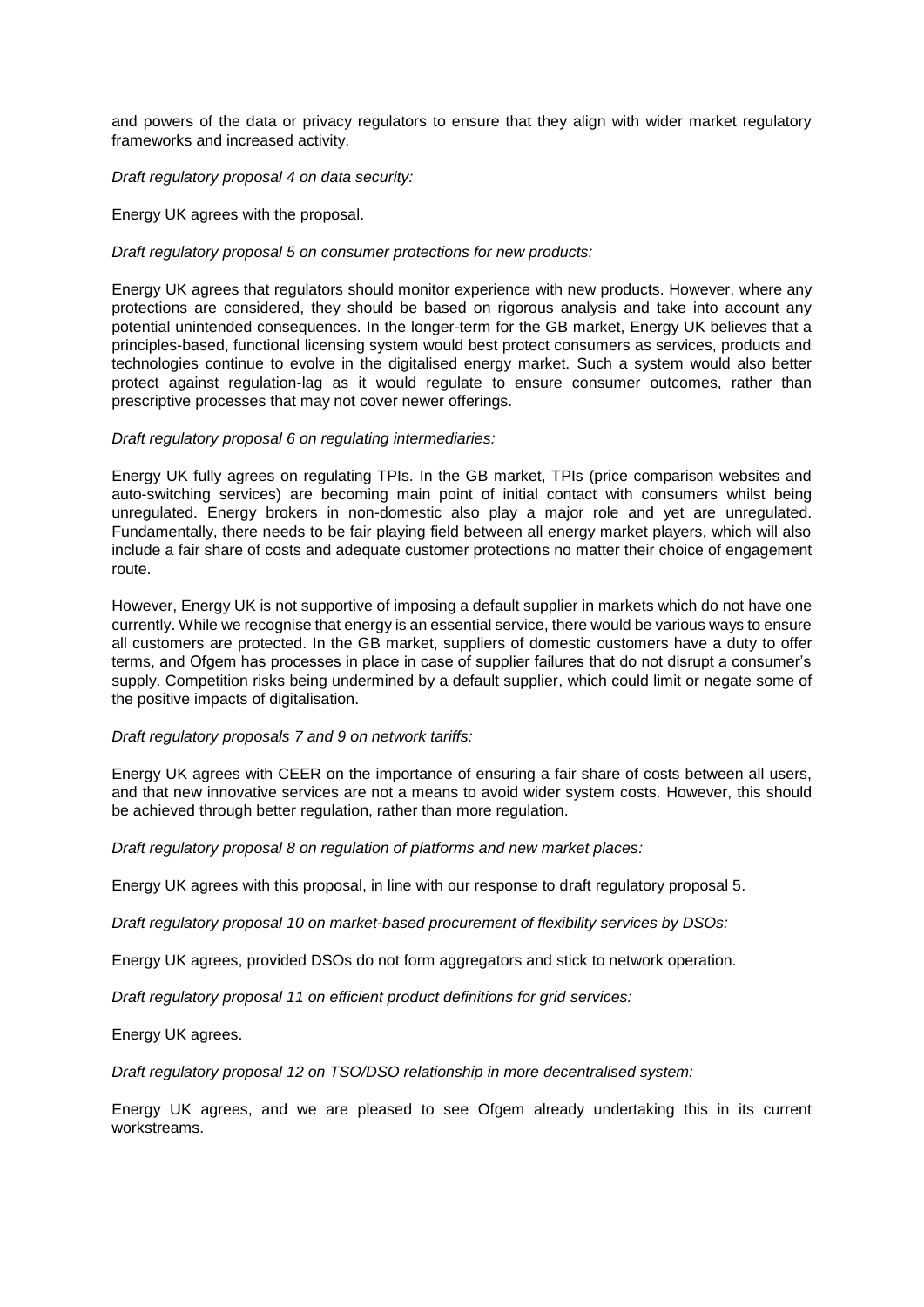and powers of the data or privacy regulators to ensure that they align with wider market regulatory frameworks and increased activity.

#### *Draft regulatory proposal 4 on data security:*

Energy UK agrees with the proposal.

#### *Draft regulatory proposal 5 on consumer protections for new products:*

Energy UK agrees that regulators should monitor experience with new products. However, where any protections are considered, they should be based on rigorous analysis and take into account any potential unintended consequences. In the longer-term for the GB market, Energy UK believes that a principles-based, functional licensing system would best protect consumers as services, products and technologies continue to evolve in the digitalised energy market. Such a system would also better protect against regulation-lag as it would regulate to ensure consumer outcomes, rather than prescriptive processes that may not cover newer offerings.

#### *Draft regulatory proposal 6 on regulating intermediaries:*

Energy UK fully agrees on regulating TPIs. In the GB market, TPIs (price comparison websites and auto-switching services) are becoming main point of initial contact with consumers whilst being unregulated. Energy brokers in non-domestic also play a major role and yet are unregulated. Fundamentally, there needs to be fair playing field between all energy market players, which will also include a fair share of costs and adequate customer protections no matter their choice of engagement route.

However, Energy UK is not supportive of imposing a default supplier in markets which do not have one currently. While we recognise that energy is an essential service, there would be various ways to ensure all customers are protected. In the GB market, suppliers of domestic customers have a duty to offer terms, and Ofgem has processes in place in case of supplier failures that do not disrupt a consumer's supply. Competition risks being undermined by a default supplier, which could limit or negate some of the positive impacts of digitalisation.

#### *Draft regulatory proposals 7 and 9 on network tariffs:*

Energy UK agrees with CEER on the importance of ensuring a fair share of costs between all users, and that new innovative services are not a means to avoid wider system costs. However, this should be achieved through better regulation, rather than more regulation.

*Draft regulatory proposal 8 on regulation of platforms and new market places:*

Energy UK agrees with this proposal, in line with our response to draft regulatory proposal 5.

*Draft regulatory proposal 10 on market-based procurement of flexibility services by DSOs:*

Energy UK agrees, provided DSOs do not form aggregators and stick to network operation.

*Draft regulatory proposal 11 on efficient product definitions for grid services:*

Energy UK agrees.

*Draft regulatory proposal 12 on TSO/DSO relationship in more decentralised system:*

Energy UK agrees, and we are pleased to see Ofgem already undertaking this in its current workstreams.